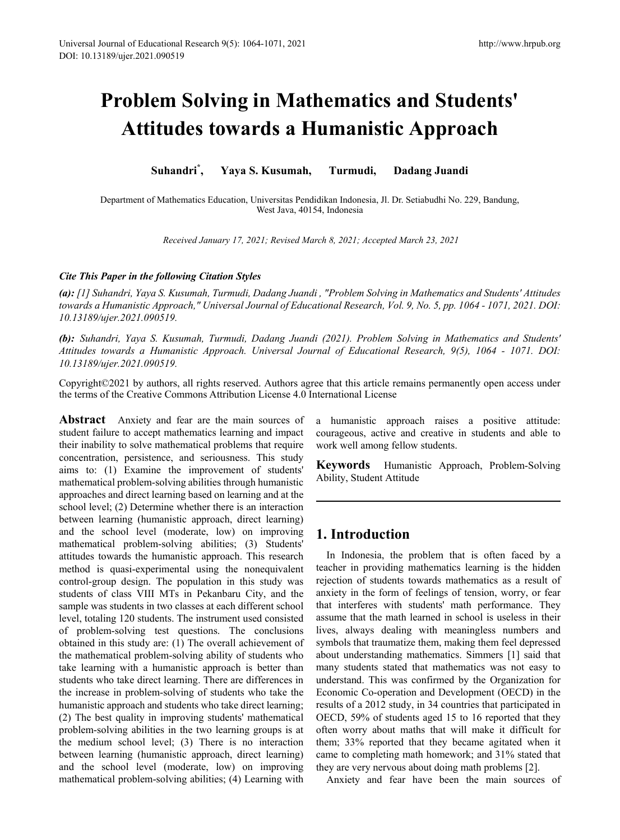# **Problem Solving in Mathematics and Students' Attitudes towards a Humanistic Approach**

**Suhandri\* , Yaya S. Kusumah, Turmudi, Dadang Juandi**

Department of Mathematics Education, Universitas Pendidikan Indonesia, Jl. Dr. Setiabudhi No. 229, Bandung, West Java, 40154, Indonesia

*Received January 17, 2021; Revised March 8, 2021; Accepted March 23, 2021*

#### *Cite This Paper in the following Citation Styles*

*(a): [1] Suhandri, Yaya S. Kusumah, Turmudi, Dadang Juandi , "Problem Solving in Mathematics and Students' Attitudes towards a Humanistic Approach," Universal Journal of Educational Research, Vol. 9, No. 5, pp. 1064 - 1071, 2021. DOI: 10.13189/ujer.2021.090519.* 

*(b): Suhandri, Yaya S. Kusumah, Turmudi, Dadang Juandi (2021). Problem Solving in Mathematics and Students' Attitudes towards a Humanistic Approach. Universal Journal of Educational Research, 9(5), 1064 - 1071. DOI: 10.13189/ujer.2021.090519.* 

Copyright©2021 by authors, all rights reserved. Authors agree that this article remains permanently open access under the terms of the Creative Commons Attribution License 4.0 International License

**Abstract** Anxiety and fear are the main sources of student failure to accept mathematics learning and impact their inability to solve mathematical problems that require concentration, persistence, and seriousness. This study aims to: (1) Examine the improvement of students' mathematical problem-solving abilities through humanistic approaches and direct learning based on learning and at the school level; (2) Determine whether there is an interaction between learning (humanistic approach, direct learning) and the school level (moderate, low) on improving mathematical problem-solving abilities; (3) Students' attitudes towards the humanistic approach. This research method is quasi-experimental using the nonequivalent control-group design. The population in this study was students of class VIII MTs in Pekanbaru City, and the sample was students in two classes at each different school level, totaling 120 students. The instrument used consisted of problem-solving test questions. The conclusions obtained in this study are: (1) The overall achievement of the mathematical problem-solving ability of students who take learning with a humanistic approach is better than students who take direct learning. There are differences in the increase in problem-solving of students who take the humanistic approach and students who take direct learning; (2) The best quality in improving students' mathematical problem-solving abilities in the two learning groups is at the medium school level; (3) There is no interaction between learning (humanistic approach, direct learning) and the school level (moderate, low) on improving mathematical problem-solving abilities; (4) Learning with

a humanistic approach raises a positive attitude: courageous, active and creative in students and able to work well among fellow students.

**Keywords** Humanistic Approach, Problem-Solving Ability, Student Attitude

# **1. Introduction**

In Indonesia, the problem that is often faced by a teacher in providing mathematics learning is the hidden rejection of students towards mathematics as a result of anxiety in the form of feelings of tension, worry, or fear that interferes with students' math performance. They assume that the math learned in school is useless in their lives, always dealing with meaningless numbers and symbols that traumatize them, making them feel depressed about understanding mathematics. Simmers [1] said that many students stated that mathematics was not easy to understand. This was confirmed by the Organization for Economic Co-operation and Development (OECD) in the results of a 2012 study, in 34 countries that participated in OECD, 59% of students aged 15 to 16 reported that they often worry about maths that will make it difficult for them; 33% reported that they became agitated when it came to completing math homework; and 31% stated that they are very nervous about doing math problems [2].

Anxiety and fear have been the main sources of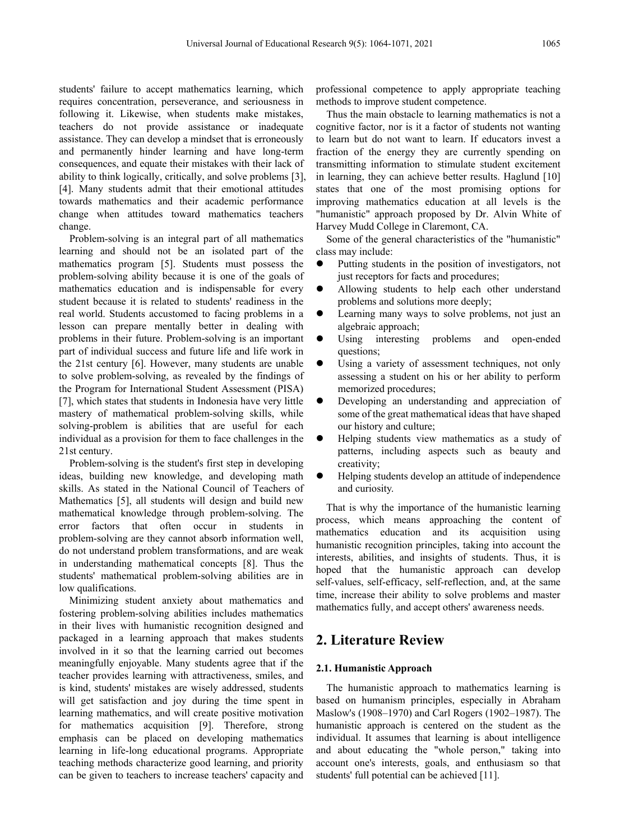students' failure to accept mathematics learning, which requires concentration, perseverance, and seriousness in following it. Likewise, when students make mistakes, teachers do not provide assistance or inadequate assistance. They can develop a mindset that is erroneously and permanently hinder learning and have long-term consequences, and equate their mistakes with their lack of ability to think logically, critically, and solve problems [3], [4]. Many students admit that their emotional attitudes towards mathematics and their academic performance change when attitudes toward mathematics teachers change.

Problem-solving is an integral part of all mathematics learning and should not be an isolated part of the mathematics program [5]. Students must possess the problem-solving ability because it is one of the goals of mathematics education and is indispensable for every student because it is related to students' readiness in the real world. Students accustomed to facing problems in a lesson can prepare mentally better in dealing with problems in their future. Problem-solving is an important part of individual success and future life and life work in the 21st century [6]. However, many students are unable to solve problem-solving, as revealed by the findings of the Program for International Student Assessment (PISA) [7], which states that students in Indonesia have very little mastery of mathematical problem-solving skills, while solving-problem is abilities that are useful for each individual as a provision for them to face challenges in the 21st century.

Problem-solving is the student's first step in developing ideas, building new knowledge, and developing math skills. As stated in the National Council of Teachers of Mathematics [5], all students will design and build new mathematical knowledge through problem-solving. The error factors that often occur in students in problem-solving are they cannot absorb information well, do not understand problem transformations, and are weak in understanding mathematical concepts [8]. Thus the students' mathematical problem-solving abilities are in low qualifications.

Minimizing student anxiety about mathematics and fostering problem-solving abilities includes mathematics in their lives with humanistic recognition designed and packaged in a learning approach that makes students involved in it so that the learning carried out becomes meaningfully enjoyable. Many students agree that if the teacher provides learning with attractiveness, smiles, and is kind, students' mistakes are wisely addressed, students will get satisfaction and joy during the time spent in learning mathematics, and will create positive motivation for mathematics acquisition [9]. Therefore, strong emphasis can be placed on developing mathematics learning in life-long educational programs. Appropriate teaching methods characterize good learning, and priority can be given to teachers to increase teachers' capacity and

professional competence to apply appropriate teaching methods to improve student competence.

Thus the main obstacle to learning mathematics is not a cognitive factor, nor is it a factor of students not wanting to learn but do not want to learn. If educators invest a fraction of the energy they are currently spending on transmitting information to stimulate student excitement in learning, they can achieve better results. Haglund [10] states that one of the most promising options for improving mathematics education at all levels is the "humanistic" approach proposed by Dr. Alvin White of Harvey Mudd College in Claremont, CA.

Some of the general characteristics of the "humanistic" class may include:

- Putting students in the position of investigators, not just receptors for facts and procedures;
- Allowing students to help each other understand problems and solutions more deeply;
- Learning many ways to solve problems, not just an algebraic approach;
- Using interesting problems and open-ended questions;
- Using a variety of assessment techniques, not only assessing a student on his or her ability to perform memorized procedures;
- Developing an understanding and appreciation of some of the great mathematical ideas that have shaped our history and culture;
- Helping students view mathematics as a study of patterns, including aspects such as beauty and creativity;
- Helping students develop an attitude of independence and curiosity.

That is why the importance of the humanistic learning process, which means approaching the content of mathematics education and its acquisition using humanistic recognition principles, taking into account the interests, abilities, and insights of students. Thus, it is hoped that the humanistic approach can develop self-values, self-efficacy, self-reflection, and, at the same time, increase their ability to solve problems and master mathematics fully, and accept others' awareness needs.

## **2. Literature Review**

#### **2.1. Humanistic Approach**

The humanistic approach to mathematics learning is based on humanism principles, especially in Abraham Maslow's (1908–1970) and Carl Rogers (1902–1987). The humanistic approach is centered on the student as the individual. It assumes that learning is about intelligence and about educating the "whole person," taking into account one's interests, goals, and enthusiasm so that students' full potential can be achieved [11].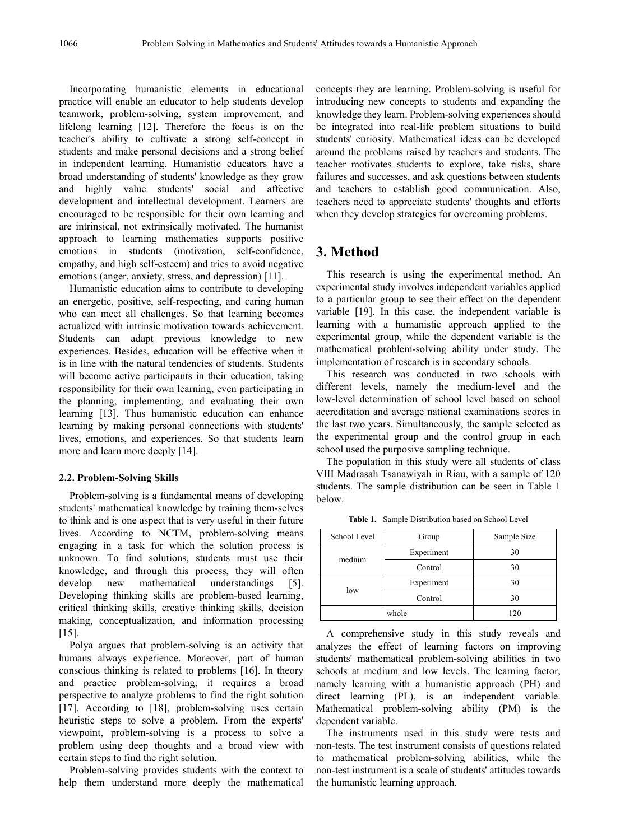Incorporating humanistic elements in educational practice will enable an educator to help students develop teamwork, problem-solving, system improvement, and lifelong learning [12]. Therefore the focus is on the teacher's ability to cultivate a strong self-concept in students and make personal decisions and a strong belief in independent learning. Humanistic educators have a broad understanding of students' knowledge as they grow and highly value students' social and affective development and intellectual development. Learners are encouraged to be responsible for their own learning and are intrinsical, not extrinsically motivated. The humanist approach to learning mathematics supports positive emotions in students (motivation, self-confidence, empathy, and high self-esteem) and tries to avoid negative emotions (anger, anxiety, stress, and depression) [11].

Humanistic education aims to contribute to developing an energetic, positive, self-respecting, and caring human who can meet all challenges. So that learning becomes actualized with intrinsic motivation towards achievement. Students can adapt previous knowledge to new experiences. Besides, education will be effective when it is in line with the natural tendencies of students. Students will become active participants in their education, taking responsibility for their own learning, even participating in the planning, implementing, and evaluating their own learning [13]. Thus humanistic education can enhance learning by making personal connections with students' lives, emotions, and experiences. So that students learn more and learn more deeply [14].

#### **2.2. Problem-Solving Skills**

Problem-solving is a fundamental means of developing students' mathematical knowledge by training them-selves to think and is one aspect that is very useful in their future lives. According to NCTM, problem-solving means engaging in a task for which the solution process is unknown. To find solutions, students must use their knowledge, and through this process, they will often develop new mathematical understandings [5]. Developing thinking skills are problem-based learning, critical thinking skills, creative thinking skills, decision making, conceptualization, and information processing [15].

Polya argues that problem-solving is an activity that humans always experience. Moreover, part of human conscious thinking is related to problems [16]. In theory and practice problem-solving, it requires a broad perspective to analyze problems to find the right solution [17]. According to [18], problem-solving uses certain heuristic steps to solve a problem. From the experts' viewpoint, problem-solving is a process to solve a problem using deep thoughts and a broad view with certain steps to find the right solution.

Problem-solving provides students with the context to help them understand more deeply the mathematical

concepts they are learning. Problem-solving is useful for introducing new concepts to students and expanding the knowledge they learn. Problem-solving experiences should be integrated into real-life problem situations to build students' curiosity. Mathematical ideas can be developed around the problems raised by teachers and students. The teacher motivates students to explore, take risks, share failures and successes, and ask questions between students and teachers to establish good communication. Also, teachers need to appreciate students' thoughts and efforts when they develop strategies for overcoming problems.

## **3. Method**

This research is using the experimental method. An experimental study involves independent variables applied to a particular group to see their effect on the dependent variable [19]. In this case, the independent variable is learning with a humanistic approach applied to the experimental group, while the dependent variable is the mathematical problem-solving ability under study. The implementation of research is in secondary schools.

This research was conducted in two schools with different levels, namely the medium-level and the low-level determination of school level based on school accreditation and average national examinations scores in the last two years. Simultaneously, the sample selected as the experimental group and the control group in each school used the purposive sampling technique.

The population in this study were all students of class VIII Madrasah Tsanawiyah in Riau, with a sample of 120 students. The sample distribution can be seen in Table 1 below.

| School Level | Group      | Sample Size |
|--------------|------------|-------------|
| medium       | Experiment | 30          |
|              | Control    | 30          |
| low          | Experiment | 30          |
|              | Control    | 30          |
| whole        |            | 120         |

**Table 1.** Sample Distribution based on School Level

A comprehensive study in this study reveals and analyzes the effect of learning factors on improving students' mathematical problem-solving abilities in two schools at medium and low levels. The learning factor, namely learning with a humanistic approach (PH) and direct learning (PL), is an independent variable. Mathematical problem-solving ability (PM) is the dependent variable.

The instruments used in this study were tests and non-tests. The test instrument consists of questions related to mathematical problem-solving abilities, while the non-test instrument is a scale of students' attitudes towards the humanistic learning approach.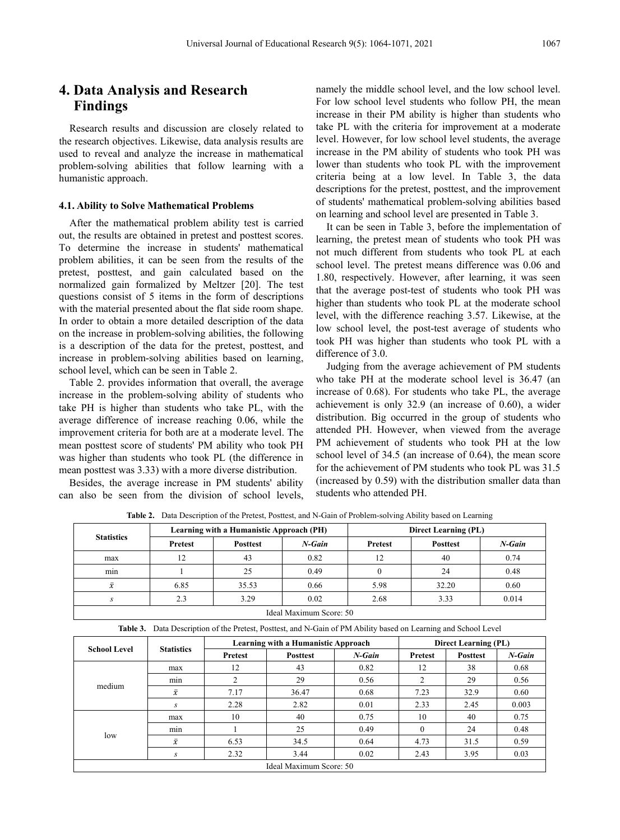# **4. Data Analysis and Research Findings**

Research results and discussion are closely related to the research objectives. Likewise, data analysis results are used to reveal and analyze the increase in mathematical problem-solving abilities that follow learning with a humanistic approach.

#### **4.1. Ability to Solve Mathematical Problems**

After the mathematical problem ability test is carried out, the results are obtained in pretest and posttest scores. To determine the increase in students' mathematical problem abilities, it can be seen from the results of the pretest, posttest, and gain calculated based on the normalized gain formalized by Meltzer [20]. The test questions consist of 5 items in the form of descriptions with the material presented about the flat side room shape. In order to obtain a more detailed description of the data on the increase in problem-solving abilities, the following is a description of the data for the pretest, posttest, and increase in problem-solving abilities based on learning, school level, which can be seen in Table 2.

Table 2. provides information that overall, the average increase in the problem-solving ability of students who take PH is higher than students who take PL, with the average difference of increase reaching 0.06, while the improvement criteria for both are at a moderate level. The mean posttest score of students' PM ability who took PH was higher than students who took PL (the difference in mean posttest was 3.33) with a more diverse distribution.

Besides, the average increase in PM students' ability can also be seen from the division of school levels,

namely the middle school level, and the low school level. For low school level students who follow PH, the mean increase in their PM ability is higher than students who take PL with the criteria for improvement at a moderate level. However, for low school level students, the average increase in the PM ability of students who took PH was lower than students who took PL with the improvement criteria being at a low level. In Table 3, the data descriptions for the pretest, posttest, and the improvement of students' mathematical problem-solving abilities based on learning and school level are presented in Table 3.

It can be seen in Table 3, before the implementation of learning, the pretest mean of students who took PH was not much different from students who took PL at each school level. The pretest means difference was 0.06 and 1.80, respectively. However, after learning, it was seen that the average post-test of students who took PH was higher than students who took PL at the moderate school level, with the difference reaching 3.57. Likewise, at the low school level, the post-test average of students who took PH was higher than students who took PL with a difference of 3.0.

Judging from the average achievement of PM students who take PH at the moderate school level is 36.47 (an increase of 0.68). For students who take PL, the average achievement is only 32.9 (an increase of 0.60), a wider distribution. Big occurred in the group of students who attended PH. However, when viewed from the average PM achievement of students who took PH at the low school level of 34.5 (an increase of 0.64), the mean score for the achievement of PM students who took PL was 31.5 (increased by 0.59) with the distribution smaller data than students who attended PH.

| <b>Statistics</b>       |                | Learning with a Humanistic Approach (PH) |           | <b>Direct Learning (PL)</b> |                 |           |  |
|-------------------------|----------------|------------------------------------------|-----------|-----------------------------|-----------------|-----------|--|
|                         | <b>Pretest</b> | <b>Posttest</b>                          | $N$ -Gain | Pretest                     | <b>Posttest</b> | $N$ -Gain |  |
| max                     | 12             | 43                                       | 0.82      | 12                          | 40              | 0.74      |  |
| min                     |                | 25                                       | 0.49      |                             | 24              | 0.48      |  |
| $\bar{x}$               | 6.85           | 35.53                                    | 0.66      | 5.98                        | 32.20           | 0.60      |  |
|                         | 2.3            | 3.29                                     | 0.02      | 2.68                        | 3.33            | 0.014     |  |
| Ideal Maximum Score: 50 |                |                                          |           |                             |                 |           |  |

**Table 2.** Data Description of the Pretest, Posttest, and N-Gain of Problem-solving Ability based on Learning

|  | <b>Table 3.</b> Data Description of the Pretest, Posttest, and N-Gain of PM Ability based on Learning and School Level |
|--|------------------------------------------------------------------------------------------------------------------------|
|  |                                                                                                                        |

| <b>School Level</b><br>medium<br>low | <b>Statistics</b> | Learning with a Humanistic Approach | <b>Direct Learning (PL)</b> |           |                |                 |           |
|--------------------------------------|-------------------|-------------------------------------|-----------------------------|-----------|----------------|-----------------|-----------|
|                                      |                   | Pretest                             | <b>Posttest</b>             | $N$ -Gain | <b>Pretest</b> | <b>Posttest</b> | $N$ -Gain |
|                                      | max               | 12                                  | 43                          | 0.82      | 12             | 38              | 0.68      |
|                                      | min               |                                     | 29                          | 0.56      | ↑              | 29              | 0.56      |
|                                      | $\bar{x}$         | 7.17                                | 36.47                       | 0.68      | 7.23           | 32.9            | 0.60      |
|                                      | S                 | 2.28                                | 2.82                        | 0.01      | 2.33           | 2.45            | 0.003     |
|                                      | max               | 10                                  | 40                          | 0.75      | 10             | 40              | 0.75      |
|                                      | $\sim$<br>min     |                                     | 25                          | 0.49      | $\Omega$       | 24              | 0.48      |
|                                      | $\bar{x}$         | 6.53                                | 34.5                        | 0.64      | 4.73           | 31.5            | 0.59      |
|                                      | S                 | 2.32                                | 3.44                        | 0.02      | 2.43           | 3.95            | 0.03      |
| Ideal Maximum Score: 50              |                   |                                     |                             |           |                |                 |           |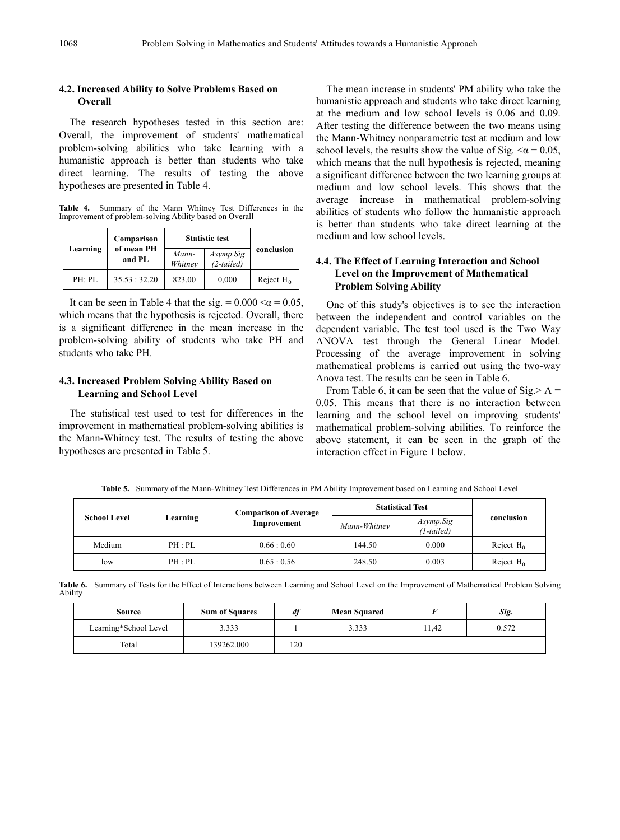#### **4.2. Increased Ability to Solve Problems Based on Overall**

The research hypotheses tested in this section are: Overall, the improvement of students' mathematical problem-solving abilities who take learning with a humanistic approach is better than students who take direct learning. The results of testing the above hypotheses are presented in Table 4.

**Table 4.** Summary of the Mann Whitney Test Differences in the Improvement of problem-solving Ability based on Overall

|          | Comparison           | <b>Statistic test</b> |                           |              |
|----------|----------------------|-----------------------|---------------------------|--------------|
| Learning | of mean PH<br>and PL | Mann-<br>Whitney      | Asymp.Sig<br>$(2-tailed)$ | conclusion   |
| PH: PL   | 35.53 : 32.20        | 823.00                | 0,000                     | Reject $H_0$ |

It can be seen in Table 4 that the sig. =  $0.000 < \alpha$  = 0.05, which means that the hypothesis is rejected. Overall, there is a significant difference in the mean increase in the problem-solving ability of students who take PH and students who take PH.

### **4.3. Increased Problem Solving Ability Based on Learning and School Level**

The statistical test used to test for differences in the improvement in mathematical problem-solving abilities is the Mann-Whitney test. The results of testing the above hypotheses are presented in Table 5.

The mean increase in students' PM ability who take the humanistic approach and students who take direct learning at the medium and low school levels is 0.06 and 0.09. After testing the difference between the two means using the Mann-Whitney nonparametric test at medium and low school levels, the results show the value of Sig.  $\leq \alpha = 0.05$ , which means that the null hypothesis is rejected, meaning a significant difference between the two learning groups at medium and low school levels. This shows that the average increase in mathematical problem-solving abilities of students who follow the humanistic approach is better than students who take direct learning at the medium and low school levels.

## **4.4. The Effect of Learning Interaction and School Level on the Improvement of Mathematical Problem Solving Ability**

One of this study's objectives is to see the interaction between the independent and control variables on the dependent variable. The test tool used is the Two Way ANOVA test through the General Linear Model. Processing of the average improvement in solving mathematical problems is carried out using the two-way Anova test. The results can be seen in Table 6.

From Table 6, it can be seen that the value of  $Sig > A =$ 0.05. This means that there is no interaction between learning and the school level on improving students' mathematical problem-solving abilities. To reinforce the above statement, it can be seen in the graph of the interaction effect in Figure 1 below.

**Table 5.** Summary of the Mann-Whitney Test Differences in PM Ability Improvement based on Learning and School Level

|                     |          | <b>Comparison of Average</b> | <b>Statistical Test</b> |                         |              |
|---------------------|----------|------------------------------|-------------------------|-------------------------|--------------|
| <b>School Level</b> | Learning | Improvement                  | Mann-Whitney            | Asymp.Sig<br>(1-tailed) | conclusion   |
| Medium              | PH : PL  | 0.66:0.60                    | 144.50                  | 0.000                   | Reject $H_0$ |
| low                 | PH : PL  | 0.65:0.56                    | 248.50                  | 0.003                   | Reject $H_0$ |

**Table 6.** Summary of Tests for the Effect of Interactions between Learning and School Level on the Improvement of Mathematical Problem Solving Ability

| Source                | <b>Sum of Squares</b> | df  | <b>Mean Squared</b> |       | Sig.  |
|-----------------------|-----------------------|-----|---------------------|-------|-------|
| Learning*School Level | 3.333                 |     | 3.333               | 11,42 | 0.572 |
| Total                 | 139262.000            | 120 |                     |       |       |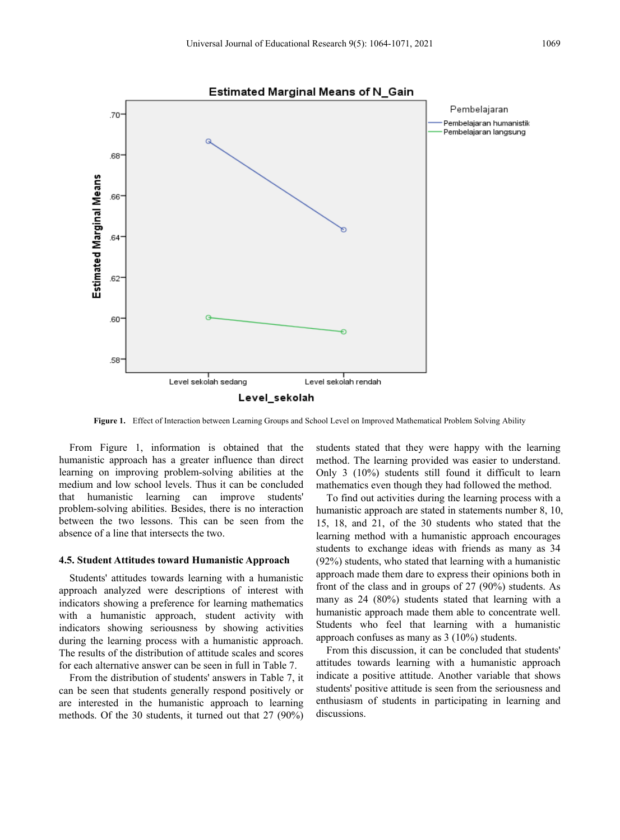

**Figure 1.** Effect of Interaction between Learning Groups and School Level on Improved Mathematical Problem Solving Ability

From Figure 1, information is obtained that the humanistic approach has a greater influence than direct learning on improving problem-solving abilities at the medium and low school levels. Thus it can be concluded that humanistic learning can improve students' problem-solving abilities. Besides, there is no interaction between the two lessons. This can be seen from the absence of a line that intersects the two.

#### **4.5. Student Attitudes toward Humanistic Approach**

Students' attitudes towards learning with a humanistic approach analyzed were descriptions of interest with indicators showing a preference for learning mathematics with a humanistic approach, student activity with indicators showing seriousness by showing activities during the learning process with a humanistic approach. The results of the distribution of attitude scales and scores for each alternative answer can be seen in full in Table 7.

From the distribution of students' answers in Table 7, it can be seen that students generally respond positively or are interested in the humanistic approach to learning methods. Of the 30 students, it turned out that 27 (90%) students stated that they were happy with the learning method. The learning provided was easier to understand. Only 3 (10%) students still found it difficult to learn mathematics even though they had followed the method.

To find out activities during the learning process with a humanistic approach are stated in statements number 8, 10, 15, 18, and 21, of the 30 students who stated that the learning method with a humanistic approach encourages students to exchange ideas with friends as many as 34 (92%) students, who stated that learning with a humanistic approach made them dare to express their opinions both in front of the class and in groups of 27 (90%) students. As many as 24 (80%) students stated that learning with a humanistic approach made them able to concentrate well. Students who feel that learning with a humanistic approach confuses as many as 3 (10%) students.

From this discussion, it can be concluded that students' attitudes towards learning with a humanistic approach indicate a positive attitude. Another variable that shows students' positive attitude is seen from the seriousness and enthusiasm of students in participating in learning and discussions.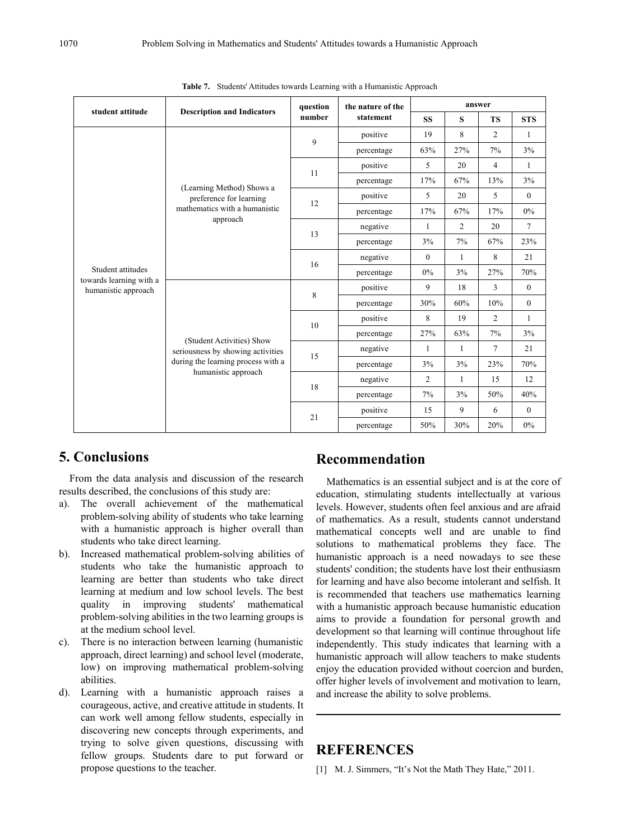|                                                |                                                                | question | the nature of the | answer         |                |                |                  |
|------------------------------------------------|----------------------------------------------------------------|----------|-------------------|----------------|----------------|----------------|------------------|
| student attitude                               | <b>Description and Indicators</b>                              | number   | statement         | <b>SS</b>      | S              | <b>TS</b>      | <b>STS</b>       |
|                                                |                                                                |          | positive          | 19             | 8              | $\overline{2}$ | $\mathbf{1}$     |
|                                                |                                                                | 9        | percentage        | 63%            | 27%            | 7%             | 3%               |
|                                                |                                                                | 11       | positive          | 5              | 20             | $\overline{4}$ | $\mathbf{1}$     |
|                                                | (Learning Method) Shows a                                      |          | percentage        | 17%            | 67%            | 13%            | 3%               |
|                                                | preference for learning                                        | 12       | positive          | 5              | 20             | 5              | $\overline{0}$   |
|                                                | mathematics with a humanistic<br>approach                      |          | percentage        | 17%            | 67%            | 17%            | 0%               |
|                                                |                                                                | 13       | negative          | 1              | $\overline{2}$ | 20             | 7                |
|                                                |                                                                |          | percentage        | 3%             | 7%             | 67%            | 23%              |
|                                                |                                                                | 16       | negative          | $\theta$       | $\mathbf{1}$   | 8              | 21               |
| Student attitudes                              |                                                                |          | percentage        | 0%             | 3%             | 27%            | 70%              |
| towards learning with a<br>humanistic approach |                                                                | 8        | positive          | 9              | 18             | 3              | $\mathbf{0}$     |
|                                                |                                                                |          | percentage        | 30%            | 60%            | 10%            | $\boldsymbol{0}$ |
|                                                |                                                                | 10       | positive          | 8              | 19             | 2              | $\mathbf{1}$     |
|                                                |                                                                |          | percentage        | 27%            | 63%            | 7%             | 3%               |
|                                                | (Student Activities) Show<br>seriousness by showing activities | 15       | negative          | $\mathbf{1}$   | $\mathbf{1}$   | 7              | 21               |
|                                                | during the learning process with a                             |          | percentage        | 3%             | 3%             | 23%            | 70%              |
|                                                | humanistic approach                                            |          | negative          | $\overline{2}$ | 1              | 15             | 12               |
|                                                |                                                                | 18       | percentage        | 7%             | 3%             | 50%            | 40%              |
|                                                |                                                                |          | positive          | 15             | 9              | 6              | $\theta$         |
|                                                |                                                                | 21       | percentage        | 50%            | 30%            | 20%            | 0%               |

|  |  |  |  |  |  | Table 7. Students' Attitudes towards Learning with a Humanistic Approach |  |  |
|--|--|--|--|--|--|--------------------------------------------------------------------------|--|--|
|--|--|--|--|--|--|--------------------------------------------------------------------------|--|--|

# **5. Conclusions**

From the data analysis and discussion of the research results described, the conclusions of this study are:

- a). The overall achievement of the mathematical problem-solving ability of students who take learning with a humanistic approach is higher overall than students who take direct learning.
- b). Increased mathematical problem-solving abilities of students who take the humanistic approach to learning are better than students who take direct learning at medium and low school levels. The best quality in improving students' mathematical problem-solving abilities in the two learning groups is at the medium school level.
- c). There is no interaction between learning (humanistic approach, direct learning) and school level (moderate, low) on improving mathematical problem-solving abilities.
- d). Learning with a humanistic approach raises a courageous, active, and creative attitude in students. It can work well among fellow students, especially in discovering new concepts through experiments, and trying to solve given questions, discussing with fellow groups. Students dare to put forward or propose questions to the teacher.

## **Recommendation**

Mathematics is an essential subject and is at the core of education, stimulating students intellectually at various levels. However, students often feel anxious and are afraid of mathematics. As a result, students cannot understand mathematical concepts well and are unable to find solutions to mathematical problems they face. The humanistic approach is a need nowadays to see these students' condition; the students have lost their enthusiasm for learning and have also become intolerant and selfish. It is recommended that teachers use mathematics learning with a humanistic approach because humanistic education aims to provide a foundation for personal growth and development so that learning will continue throughout life independently. This study indicates that learning with a humanistic approach will allow teachers to make students enjoy the education provided without coercion and burden, offer higher levels of involvement and motivation to learn, and increase the ability to solve problems.

# **REFERENCES**

[1] M. J. Simmers, "It's Not the Math They Hate," 2011.